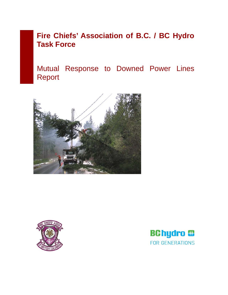# **Fire Chiefs' Association of B.C. / BC Hydro Task Force**

Mutual Response to Downed Power Lines Report





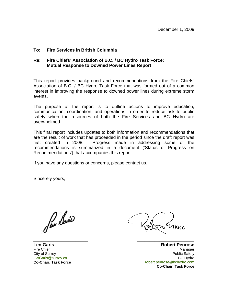### **To: Fire Services in British Columbia**

#### **Re: Fire Chiefs' Association of B.C. / BC Hydro Task Force: Mutual Response to Downed Power Lines Report**

This report provides background and recommendations from the Fire Chiefs' Association of B.C. / BC Hydro Task Force that was formed out of a common interest in improving the response to downed power lines during extreme storm events.

The purpose of the report is to outline actions to improve education, communication, coordination, and operations in order to reduce risk to public safety when the resources of both the Fire Services and BC Hydro are overwhelmed.

This final report includes updates to both information and recommendations that are the result of work that has proceeded in the period since the draft report was first created in 2008. Progress made in addressing some of the recommendations is summarized in a document ('Status of Progress on Recommendations') that accompanies this report.

If you have any questions or concerns, please contact us.

Sincerely yours,

\_\_\_\_\_\_\_\_\_\_\_\_\_\_\_\_\_\_\_\_\_\_

**Len Garis**  Fire Chief City of Surrey [LWGaris@surrey.ca](mailto:LWGaris@surrey.ca) **Co-Chair, Task Force** 

**Robert Penrose** Manager Public Safety BC Hydro [robert.penrose@bchydro.com](mailto:robert.penrose@bchydro.com) **Co-Chair, Task Force**

\_\_\_\_\_\_\_\_\_\_\_\_\_\_\_\_\_\_\_\_\_\_\_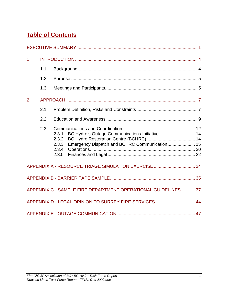## **Table of Contents**

| $\overline{1}$ |     |                                                                                                                                              |  |
|----------------|-----|----------------------------------------------------------------------------------------------------------------------------------------------|--|
|                | 1.1 |                                                                                                                                              |  |
|                | 1.2 |                                                                                                                                              |  |
|                | 1.3 |                                                                                                                                              |  |
| $\overline{2}$ |     |                                                                                                                                              |  |
|                | 2.1 |                                                                                                                                              |  |
|                | 2.2 |                                                                                                                                              |  |
|                | 2.3 | BC Hydro's Outage Communications Initiative 14<br>2.3.1<br>2.3.2<br>Emergency Dispatch and BCHRC Communication 15<br>2.3.3<br>2.3.4<br>2.3.5 |  |
|                |     | APPENDIX A - RESOURCE TRIAGE SIMULATION EXERCISE  24                                                                                         |  |
|                |     |                                                                                                                                              |  |
|                |     | APPENDIX C - SAMPLE FIRE DEPARTMENT OPERATIONAL GUIDELINES 37                                                                                |  |
|                |     | APPENDIX D - LEGAL OPINION TO SURREY FIRE SERVICES 44                                                                                        |  |
|                |     |                                                                                                                                              |  |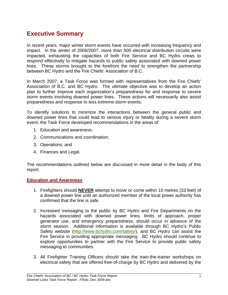## <span id="page-5-0"></span>**Executive Summary**

In recent years, major winter storm events have occurred with increasing frequency and impact. In the winter of 2006/2007, more than 500 electrical distribution circuits were impacted, exhausting the capacities of both Fire Service and BC Hydro crews to respond effectively to mitigate hazards to public safety associated with downed power lines. These storms brought to the forefront the need to strengthen the partnership between BC Hydro and the Fire Chiefs' Association of B.C.

In March 2007, a Task Force was formed with representatives from the Fire Chiefs' Association of B.C. and BC Hydro. The ultimate objective was to develop an action plan to further improve each organization's preparedness for and response to severe storm events involving downed power lines. These actions will necessarily also assist preparedness and response to less extreme storm events.

To identify solutions to minimize the interactions between the general public and downed power lines that could lead to serious injury or fatality during a severe storm event, the Task Force developed recommendations in the areas of:

- 1. Education and awareness;
- 2. Communications and coordination;
- 3. Operations; and
- 4. Finances and Legal.

The recommendations outlined below are discussed in more detail in the body of this report.

#### **Education and Awareness**

- 1. Firefighters should **NEVER** attempt to move or come within 10 metres (33 feet) of a downed power line until an authorized member of the local power authority has confirmed that the line is safe.
- 2. Increased messaging to the public by BC Hydro and Fire Departments on the hazards associated with downed power lines, limits of approach, proper generator use, and emergency preparedness, should occur in advance of the storm season. Additional information is available through BC Hydro's Public Safety website (<http://www.bchydro.com/safety/>), and BC Hydro can assist the Fire Service in providing appropriate messaging. BC Hydro should continue to explore opportunities to partner with the Fire Service to provide public safety messaging to communities.
- 3. All Firefighter Training Officers should take the train-the-trainer workshops on electrical safety that are offered free-of-charge by BC Hydro and delivered by the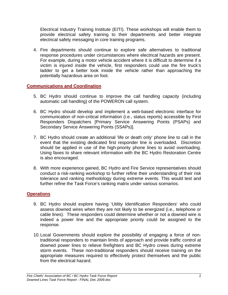Electrical Industry Training Institute (EITI). These workshops will enable them to provide electrical safety training to their departments and better integrate electrical safety messaging in core training programs.

4. Fire departments should continue to explore safe alternatives to traditional response procedures under circumstances where electrical hazards are present. For example, during a motor vehicle accident where it is difficult to determine if a victim is injured inside the vehicle, first responders could use the fire truck's ladder to get a better look inside the vehicle rather than approaching the potentially hazardous area on foot.

### **Communications and Coordination**

- 5. BC Hydro should continue to improve the call handling capacity (including automatic call handling) of the POWERON call system.
- 6. BC Hydro should develop and implement a web-based electronic interface for communication of non-critical information (i.e., status reports) accessible by First Responders Dispatchers [Primary Service Answering Points (PSAPs) and Secondary Service Answering Points (SSAPs)].
- 7. BC Hydro should create an additional 'life or death only' phone line to call in the event that the existing dedicated first responder line is overloaded. Discretion should be applied in use of the high-priority phone lines to avoid overloading. Using faxes to share relevant information with the BC Hydro Restoration Centre is also encouraged.
- 8. With more experience gained, BC Hydro and Fire Service representatives should conduct a risk-ranking workshop to further refine their understanding of their risk tolerance and ranking methodology during extreme events. This would test and further refine the Task Force's ranking matrix under various scenarios.

## **Operations**

- 9. BC Hydro should explore having 'Utility Identification Responders' who could assess downed wires when they are not likely to be energized (i.e., telephone or cable lines). These responders could determine whether or not a downed wire is indeed a power line and the appropriate priority could be assigned to the response.
- 10. Local Governments should explore the possibility of engaging a force of nontraditional responders to maintain limits of approach and provide traffic control at downed power lines to relieve firefighters and BC Hydro crews during extreme storm events. These non-traditional responders should receive training on the appropriate measures required to effectively protect themselves and the public from the electrical hazard.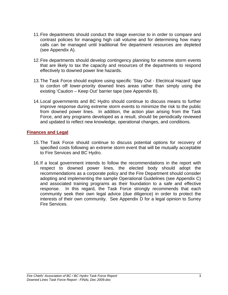- 11. Fire departments should conduct the triage exercise to in order to compare and contrast policies for managing high call volume and for determining how many calls can be managed until traditional fire department resources are depleted (see Appendix A).
- 12. Fire departments should develop contingency planning for extreme storm events that are likely to tax the capacity and resources of the departments to respond effectively to downed power line hazards.
- 13. The Task Force should explore using specific 'Stay Out Electrical Hazard' tape to cordon off lower-priority downed lines areas rather than simply using the existing 'Caution – Keep Out' barrier tape (see Appendix B).
- 14. Local governments and BC Hydro should continue to discuss means to further improve response during extreme storm events to minimize the risk to the public from downed power lines. In addition, the action plan arising from the Task Force, and any programs developed as a result, should be periodically reviewed and updated to reflect new knowledge, operational changes, and conditions.

### **Finances and Legal**

- 15. The Task Force should continue to discuss potential options for recovery of specified costs following an extreme storm event that will be mutually acceptable to Fire Services and BC Hydro.
- 16. If a local government intends to follow the recommendations in the report with respect to downed power lines, the elected body should adopt the recommendations as a corporate policy and the Fire Department should consider adopting and implementing the sample Operational Guidelines (see Appendix C) and associated training programs as their foundation to a safe and effective response. In this regard, the Task Force strongly recommends that each community seek their own legal advice (due diligence) in order to protect the interests of their own community. See Appendix D for a legal opinion to Surrey Fire Services.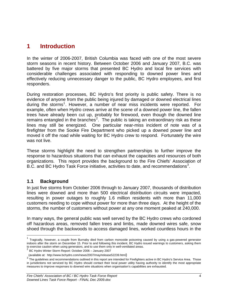## <span id="page-8-0"></span>**1 Introduction**

In the winter of 2006-2007, British Columbia was faced with one of the most severe storm seasons in recent history. Between October 2006 and January 2007, B.C. was battered by five major storms that presented BC Hydro and local fire services with considerable challenges associated with responding to downed power lines and effectively reducing unnecessary danger to the public, BC Hydro employees, and first responders.

During restoration processes, BC Hydro's first priority is public safety. There is no evidence of anyone from the public being injured by damaged or downed electrical lines during the storms<sup>[1](#page-8-0)</sup>. However, a number of near miss incidents were reported. For example, often when Hydro crews arrive at the scene of a downed power line, the fallen trees have already been cut up, probably for firewood, even though the downed line remains entangled in the branches<sup>[2](#page-8-0)</sup>. The public is taking an extraordinary risk as these lines may still be energized. One particular near-miss incident of note was of a firefighter from the Sooke Fire Department who picked up a downed power line and moved it off the road while waiting for BC Hydro crew to respond. Fortunately the wire was not live.

These storms highlight the need to strengthen partnerships to further improve the response to hazardous situations that can exhaust the capacities and resources of both organizations. This report provides the background to the Fire Chiefs' Association of B.C. and BC Hydro Task Force initiative, activities to date, and recommendations<sup>[3](#page-8-0)</sup>.

## **1.1 Background**

 $\overline{a}$ 

In just five storms from October 2006 through to January 2007, thousands of distribution lines were downed and more than 500 electrical distribution circuits were impacted, resulting in power outages to roughly 1.6 million residents with more than 11,000 customers needing to cope without power for more than three days. At the height of the storms, the number of customers without power at any one moment peaked at 240,000.

In many ways, the general public was well served by the BC Hydro crews who cordoned off hazardous areas, removed fallen trees and limbs, made downed wires safe, snow shoed through the backwoods to access damaged lines, worked countless hours in the

 $1$  Tragically, however, a couple from Burnaby died from carbon monoxide poisoning caused by using a gas-powered generator indoors after the storm on December 15. Prior to and following this incident, BC Hydro issued warnings to customers, asking them<br>to exercise caution when using generators, and to use them only in well-ventilated areas.

 $\frac{2}{3}$  BC Hydro Winter Storm Report: October 2006 – January 2007

<sup>(</sup>available at: http://www.bchydro.com/news/2007/may/release52239.html)<br>
<sup>3</sup> The guidelines and recommendations outlined in this report are intended for Firefighters active in BC Hydro's Service Area. Those in jurisdictions not serviced by BC Hydro should contact their local power utility having authority to identify the most appropriate measures to improve responses to downed wire situations when organisation's capabilities are exhausted.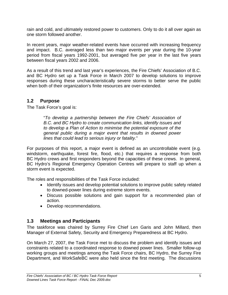<span id="page-9-0"></span>rain and cold, and ultimately restored power to customers. Only to do it all over again as one storm followed another.

In recent years, major weather-related events have occurred with increasing frequency and impact. B.C. averaged less than two major events per year during the 10-year period from fiscal years 1992-2001, but averaged five per year in the last five years between fiscal years 2002 and 2006.

As a result of this trend and last year's experiences, the Fire Chiefs' Association of B.C. and BC Hydro set up a Task Force in March 2007 to develop solutions to improve responses during these uncharacteristically severe storms to better serve the public when both of their organization's finite resources are over-extended.

## **1.2 Purpose**

The Task Force's goal is:

"*To develop a partnership between the Fire Chiefs' Association of B.C. and BC Hydro to create communication links, identify issues and to develop a Plan of Action to minimise the potential exposure of the general public during a major event that results in downed power lines that could lead to serious injury or fatality.*"

For purposes of this report, a major event is defined as an uncontrollable event (e.g. windstorm, earthquake, forest fire, flood, etc.) that requires a response from both BC Hydro crews and first responders beyond the capacities of these crews. In general, BC Hydro's Regional Emergency Operation Centres will prepare to staff up when a storm event is expected.

The roles and responsibilities of the Task Force included:

- Identify issues and develop potential solutions to improve public safety related to downed-power lines during extreme storm events.
- Discuss possible solutions and gain support for a recommended plan of action.
- Develop recommendations.

## **1.3 Meetings and Participants**

The taskforce was chaired by Surrey Fire Chief Len Garis and John Millard, then Manager of External Safety, Security and Emergency Preparedness at BC Hydro.

On March 27, 2007, the Task Force met to discuss the problem and identify issues and constraints related to a coordinated response to downed power lines. Smaller follow-up working groups and meetings among the Task Force chairs, BC Hydro, the Surrey Fire Department, and WorkSafeBC were also held since the first meeting. The discussions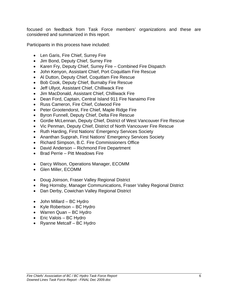focused on feedback from Task Force members' organizations and these are considered and summarized in this report.

Participants in this process have included:

- Len Garis, Fire Chief, Surrey Fire
- Jim Bond, Deputy Chief, Surrey Fire
- Karen Fry, Deputy Chief, Surrey Fire Combined Fire Dispatch
- John Kenyon, Assistant Chief, Port Coquitlam Fire Rescue
- Al Dutton, Deputy Chief, Coquitlam Fire Rescue
- Bob Cook, Deputy Chief, Burnaby Fire Rescue
- Jeff Ullyot, Assistant Chief, Chilliwack Fire
- Jim MacDonald, Assistant Chief, Chilliwack Fire
- Dean Ford, Captain, Central Island 911 Fire Nanaimo Fire
- Russ Cameron, Fire Chief, Colwood Fire
- Peter Grootendorst, Fire Chief, Maple Ridge Fire
- Byron Funnell, Deputy Chief, Delta Fire Rescue
- Gordie McLennan, Deputy Chief, District of West Vancouver Fire Rescue
- Vic Penman, Deputy Chief, District of North Vancouver Fire Rescue
- Ruth Harding, First Nations' Emergency Services Society
- Ananthan Supprah, First Nations' Emergency Services Society
- Richard Simpson, B.C. Fire Commissioners Office
- David Anderson Richmond Fire Department
- Brad Perrie Pitt Meadows Fire
- Darcy Wilson, Operations Manager, ECOMM
- Glen Miller, ECOMM
- Doug Joinson, Fraser Valley Regional District
- Reg Hornsby, Manager Communications, Fraser Valley Regional District
- Dan Derby, Cowichan Valley Regional District
- John Millard BC Hydro
- Kyle Robertson BC Hydro
- Warren Quan BC Hydro
- Eric Valois BC Hydro
- Ryanne Metcalf BC Hydro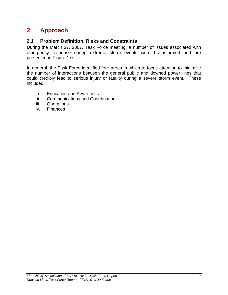## <span id="page-11-0"></span>**2 Approach**

## **2.1 Problem Definition, Risks and Constraints**

During the March 27, 2007, Task Force meeting, a number of issues associated with emergency response during extreme storm events were brainstormed and are presented in Figure 1.0.

In general, the Task Force identified four areas in which to focus attention to minimize the number of interactions between the general public and downed power lines that could credibly lead to serious injury or fatality during a severe storm event. These included:

- i. Education and Awareness
- ii. Communications and Coordination
- iii. Operations
- iv. Finances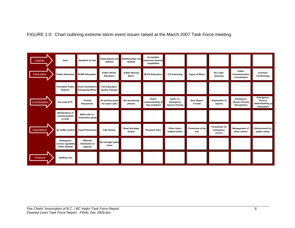FIGURE 1.0: Chart outlining extreme storm event issues raised at the March 2007 Task Force meeting.

| Liability         | Duty                                              | <b>Standard of care</b>                           | <b>Expectations not</b><br>defined       | Relationships not<br>defined  | Acceptable<br>measures beyond<br>capabilities |                                                   |                              |                                               |                                                     |                                                         |
|-------------------|---------------------------------------------------|---------------------------------------------------|------------------------------------------|-------------------------------|-----------------------------------------------|---------------------------------------------------|------------------------------|-----------------------------------------------|-----------------------------------------------------|---------------------------------------------------------|
| Education         | <b>Public Behaviour</b>                           | <b>RCMP Education</b>                             | <b>Public Works</b><br>Education         | <b>Public Moving</b><br>Wires | <b>BCAS Education</b>                         | <b>CO Poisoning</b>                               | <b>Types of Wires</b>        | 911 Calls<br>(misuse)                         | Public<br>Communication<br>Coordination             | Common<br>Terminology                                   |
|                   | <b>Unreliable Public</b><br>Reports               | <b>Home Generators</b><br><b>Energizing Wires</b> | <b>Fire Education</b><br>(policy change) |                               |                                               |                                                   |                              |                                               |                                                     |                                                         |
| Coordination      | <b>Accurate ETA</b>                               | Priority<br><b>Responses</b>                      | No priority given<br>for hydro calls     | Not answering<br>phones       | Hydro<br>understanding of<br>'big' problems   | Hydro vs.<br>Emergency<br><b>Service Priority</b> | <b>Best Report</b><br>Format | <b>Duplication of</b><br>reports              | Emergency<br><b>Service Priority</b><br>Recognition | Emergency<br>Service<br>understanding of<br>restoration |
|                   | <b>Maintenance of</b><br>communication<br>@ limit | Make safe vs.<br>restoration goals                |                                          |                               |                                               |                                                   |                              |                                               |                                                     |                                                         |
| <b>Operations</b> | No traffic control                                | <b>Taxed Resources</b>                            | Call volume                              | Road blockage<br>(trees)      | <b>Structure fires</b>                        | <b>Other Hydro</b><br>related events              | Protection of the<br>site    | <b>Thresholds for</b><br>emergency<br>service | <b>Management of</b><br>other events                | <b>Enforcement for</b><br>public safety                 |
|                   | Emergency<br>service capability<br>limits defined | <b>Different</b><br>thresholds to<br>capacity     | Not enough hydro<br>crews                |                               |                                               |                                                   |                              |                                               |                                                     |                                                         |
| Finance           | <b>Staffing cost</b>                              |                                                   |                                          |                               |                                               |                                                   |                              |                                               |                                                     |                                                         |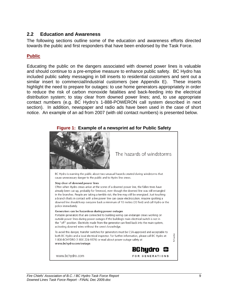### <span id="page-13-0"></span>**2.2 Education and Awareness**

The following sections outline some of the education and awareness efforts directed towards the public and first responders that have been endorsed by the Task Force.

### **Public**

Educating the public on the dangers associated with downed power lines is valuable and should continue to a pre-emptive measure to enhance public safety. BC Hydro has included public safety messaging in bill inserts to residential customers and sent out a similar insert to commercial/industrial customers (see Appendix E). These inserts highlight the need to prepare for outages: to use home generators appropriately in order to reduce the risk of carbon monoxide fatalities and back-feeding into the electrical distribution system; to stay clear from downed power lines; and, to use appropriate contact numbers (e.g. BC Hydro's 1-888-POWERON call system described in next section). In addition, newspaper and radio ads have been used in the case of short notice. An example of an ad from 2007 (with old contact numbers) is presented below.



#### **Figure 1: Example of a newsprint ad for Public Safety**

The hazards of windstorms

BC Hydro is warning the public about two unusual hazards created during windstorms that cause unnecessary danger to the public and to Hydro line crews.

#### Stay clear of downed power lines

Often when Hydro crews arrive at the scene of a downed power line, the fallen trees have already been cut up, probably for firewood, even though the downed line was still entangled in the branches. People are taking a terrible risk; the line may still be energized. Just touching a branch that's in contact with a live power line can cause electrocution. Anyone spotting a downed line should keep everyone back a minimum of 10 metres (33 feet) and call Hydro or the police immediately.

#### Generators can be hazardous during power outages

Portable generators that are connected to building wiring can endanger crews working on outside power lines during power outages if the building's main electrical switch is not in the "off" position. Electricity made from the generator can feed back into the main system, activating downed wires without the crew's knowledge.

To avoid this danger, transfer switches for generators must be CSA-approved and acceptable to both BC Hydro and a local electrical inspector. For further information, please call BC Hydro at 1 800-BCHYDRO (1 800 224-9376) or read about power outage safety at www.bchydro.com/outage.



number

ď

www.bchydro.com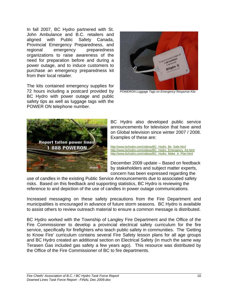In fall 2007, BC Hydro partnered with St. John Ambulance and B.C. retailers and aligned with Public Safety Canada, Provincial Emergency Preparedness, and regional emergency preparedness organizations to raise awareness of the need for preparation before and during a power outage, and to induce customers to purchase an emergency preparedness kit from their local retailer.

The kits contained emergency supplies for 72 hours including a postcard provided by BC Hydro with power outage and public safety tips as well as luggage tags with the POWER ON telephone number.



*POWERON Luggage Tags on Emergency Response Kits*



BC Hydro also developed public service announcements for television that have aired on Global television since winter 2007 / 2008. Examples of these are:

[http://www.bchydro.com/videos/BC\\_Hydro\\_Be\\_Safe.html](http://www.bchydro.com/videos/BC_Hydro_Be_Safe.html) [http://www.bchydro.com/videos/BC\\_Hydro\\_Emergency\\_Kit.html](http://www.bchydro.com/videos/BC_Hydro_Emergency_Kit.html) [http://www.bchydro.com/videos/BC\\_Hydro\\_Make\\_A\\_Plan.html](http://www.bchydro.com/videos/BC_Hydro_Make_A_Plan.html)

December 2009 update – Based on feedback by stakeholders and subject matter experts, concern has been expressed regarding the

use of candles in the existing Public Service Announcements due to associated safety risks. Based on this feedback and supporting statistics, BC Hydro is reviewing the reference to and depiction of the use of candles in power outage communications.

Increased messaging on these safety precautions from the Fire Department and municipalities is encouraged in advance of future storm seasons. BC Hydro is available to assist others to review outreach material to ensure a common message is distributed.

BC Hydro worked with the Township of Langley Fire Department and the Office of the Fire Commissioner to develop a provincial electrical safety curriculum for the fire service, specifically for firefighters who teach public safety in communities. The 'Getting to Know Fire' curriculum contains several Fire Safety lesson plans for all age groups and BC Hydro created an additional section on Electrical Safety (in much the same way Terasen Gas included gas safety a few years ago). This resource was distributed by the Office of the Fire Commissioner of BC to fire departments.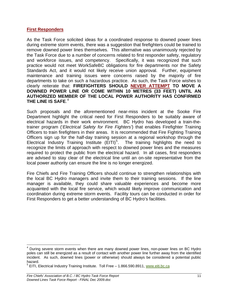#### <span id="page-15-0"></span>**First Responders**

As the Task Force solicited ideas for a coordinated response to downed power lines during extreme storm events, there was a suggestion that firefighters could be trained to remove downed power lines themselves. This alternative was unanimously rejected by the Task Force due to a number of concerns related to first responder safety, regulatory and workforce issues, and competency. Specifically, it was recognized that such practice would not meet WorkSafeBC obligations for fire departments nor the Safety Standards Act, and it would not likely receive union approval. Further, equipment maintenance and training issues were concerns raised by the majority of fire departments to take on such a hazardous practice. As such, the Task Force wishes to clearly reiterate that: **FIREFIGHTERS SHOULD NEVER ATTEMPT TO MOVE A DOWNED POWER LINE OR COME WITHIN 10 METRES (33 FEET) UNTIL AN AUTHORIZED MEMBER OF THE LOCAL POWER AUTHORITY HAS CONFIRMED THE LINE IS SAFE**. [4](#page-15-0)

Such proposals and the aforementioned near-miss incident at the Sooke Fire Department highlight the critical need for First Responders to be suitably aware of electrical hazards in their work environment. BC Hydro has developed a train-thetrainer program ('*Electrical Safety for Fire Fighters'*) that enables Firefighter Training Officers to train firefighters in their areas. It is recommended that Fire Fighting Training Officers sign up for the half-day training session at a regional workshop through the Electrical Industry Training Institute  $(EITI)^5$  $(EITI)^5$ . The training highlights the need to recognize the limits of approach with respect to downed power lines and the measures required to protect the public from the electrical hazard. In all cases, first responders are advised to stay clear of the electrical line until an on-site representative from the local power authority can ensure the line is no longer energized.

Fire Chiefs and Fire Training Officers should continue to strengthen relationships with the local BC Hydro managers and invite them to their training sessions. If the line manager is available, they could share valuable experiences and become more acquainted with the local fire service, which would likely improve communication and coordination during extreme storm events. Facility tours can be conducted in order for First Responders to get a better understanding of BC Hydro's facilities.

 $\overline{a}$ <sup>4</sup> During severe storm events when there are many downed power lines, non-power lines on BC Hydro poles can still be energized as a result of contact with another power line further away from the identified incident. As such, downed lines (power or otherwise) should always be considered a potential public hazard.

<sup>5</sup> EITI, Electrical Industry Training Institute. Toll Free - 1.866.590.8911, [www.eiti.bc.ca](http://www.eiti.bc.ca/)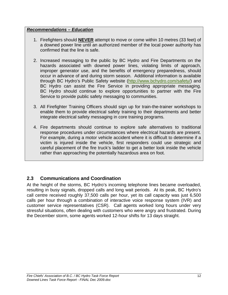### <span id="page-16-0"></span>*Recommendations – Education*

- 1. Firefighters should **NEVER** attempt to move or come within 10 metres (33 feet) of a downed power line until an authorized member of the local power authority has confirmed that the line is safe.
- 2. Increased messaging to the public by BC Hydro and Fire Departments on the hazards associated with downed power lines, violating limits of approach, improper generator use, and the benefits of emergency preparedness, should occur in advance of and during storm season. Additional information is available through BC Hydro's Public Safety website (<http://www.bchydro.com/safety/>) and BC Hydro can assist the Fire Service in providing appropriate messaging. BC Hydro should continue to explore opportunities to partner with the Fire Service to provide public safety messaging to communities.
- 3. All Firefighter Training Officers should sign up for train-the-trainer workshops to enable them to provide electrical safety training to their departments and better integrate electrical safety messaging in core training programs.
- 4. Fire departments should continue to explore safe alternatives to traditional response procedures under circumstances where electrical hazards are present. For example, during a motor vehicle accident where it is difficult to determine if a victim is injured inside the vehicle, first responders could use strategic and careful placement of the fire truck's ladder to get a better look inside the vehicle rather than approaching the potentially hazardous area on foot.

## **2.3 Communications and Coordination**

At the height of the storms, BC Hydro's incoming telephone lines became overloaded, resulting in busy signals, dropped calls and long wait periods. At its peak, BC Hydro's call centre received roughly 37,500 calls per hour, yet its call capacity was just 6,500 calls per hour through a combination of interactive voice response system (IVR) and customer service representatives (CSR). Call agents worked long hours under very stressful situations, often dealing with customers who were angry and frustrated. During the December storm, some agents worked 12-hour shifts for 13 days straight.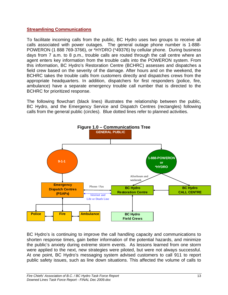### **Streamlining Communications**

To facilitate incoming calls from the public, BC Hydro uses two groups to receive all calls associated with power outages. The general outage phone number is 1-888- POWERON (1 888 769-3766), or \*HYDRO (\*49376) by cellular phone. During business days from 7 a.m. to 8 p.m., trouble calls are routed through the call centre where an agent enters key information from the trouble calls into the POWERON system. From this information, BC Hydro's Restoration Centre (BCHRC) assesses and dispatches a field crew based on the severity of the damage. After hours and on the weekend, the BCHRC takes the trouble calls from customers directly and dispatches crews from the appropriate headquarters. In addition, dispatchers for first responders (police, fire, ambulance) have a separate emergency trouble call number that is directed to the BCHRC for prioritized response.

The following flowchart (black lines) illustrates the relationship between the public, BC Hydro, and the Emergency Service and Dispatch Centres (rectangles) following calls from the general public (circles). Blue dotted lines refer to planned activities.



BC Hydro's is continuing to improve the call handling capacity and communications to shorten response times, gain better information of the potential hazards, and minimize the public's anxiety during extreme storm events. As lessons learned from one storm were applied to the next, new strategies were piloted, but were not always successful. At one point, BC Hydro's messaging system advised customers to call 911 to report public safety issues, such as line down situations. This affected the volume of calls to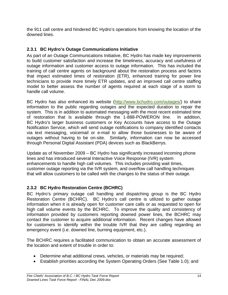<span id="page-18-0"></span>the 911 call centre and hindered BC Hydro's operations from knowing the location of the downed lines.

## **2.3.1 BC Hydro's Outage Communications Initiative**

As part of an Outage Communications Initiative, BC Hydro has made key improvements to build customer satisfaction and increase the timeliness, accuracy and usefulness of outage information and customer access to outage information. This has included the training of call centre agents on background about the restoration process and factors that impact estimated times of restoration (ETR), enhanced training for power line technicians to provide more timely ETR updates, and an improved call centre staffing model to better assess the number of agents required at each stage of a storm to handle call volume.

BC Hydro has also enhanced its website [\(http://www.bchydro.com/outages/](http://www.bchydro.com/outages/)) to share information to the public regarding outages and the expected duration to repair the system. This is in addition to automated messaging with the most recent estimated time of restoration that is available through the 1-888-POWERON line. In addition, BC Hydro's larger business customers or Key Accounts have access to the Outage Notification Service, which will send outage notifications to company identified contacts via text messaging, voicemail or e-mail to allow those businesses to be aware of outages without having to be on-site. Similarly, information can now be accessed through Personal Digital Assistant (PDA) devices such as BlackBerrys.

Update as of November 2009 – BC Hydro has significantly increased incoming phone lines and has introduced several Interactive Voice Response (IVR) system enhancements to handle high call volumes. This includes providing wait times, customer outage reporting via the IVR system, and overflow call handling techniques that will allow customers to be called with the changes to the status of their outage.

## **2.3.2 BC Hydro Restoration Centre (BCHRC)**

BC Hydro's primary outage call handling and dispatching group is the BC Hydro Restoration Centre (BCHRC). BC Hydro's call centre is utilized to gather outage information when it is already open for customer care calls or as requested to open for high call volume events by the BCHRC. To improve the quality and consistency of information provided by customers reporting downed power lines, the BCHRC may contact the customer to acquire additional information. Recent changes have allowed for customers to identify within the trouble IVR that they are calling regarding an emergency event (i.e. downed line, burning equipment, etc.).

The BCHRC requires a facilitated communication to obtain an accurate assessment of the location and extent of trouble in order to:

- Determine what additional crews, vehicles, or materials may be required;
- Establish priorities according the System Operating Orders (See Table 1.0); and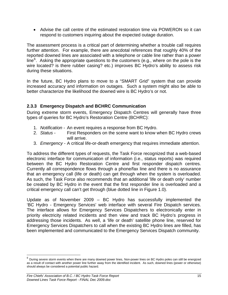<span id="page-19-0"></span>• Advise the call centre of the estimated restoration time via POWERON so it can respond to customers inquiring about the expected outage duration.

The assessment process is a critical part of determining whether a trouble call requires further attention. For example, there are anecdotal references that roughly 40% of the reported downed lines are associated with a telephone or cable line rather than a power line<sup>[6](#page-19-0)</sup>. Asking the appropriate questions to the customers (e.g., where on the pole is the wire located? is there rubber casing? etc.) improves BC Hydro's ability to assess risk during these situations.

In the future, BC Hydro plans to move to a "SMART Grid" system that can provide increased accuracy and information on outages. Such a system might also be able to better characterize the likelihood the downed wire is BC Hydro's or not.

## **2.3.3 Emergency Dispatch and BCHRC Communication**

During extreme storm events, Emergency Dispatch Centres will generally have three types of queries for BC Hydro's Restoration Centre (BCHRC):

- 1. *Notification* An event requires a response from BC Hydro.
- 2. *Status* First Responders on the scene want to know when BC Hydro crews will arrive.
- 3. *Emergency* A critical life-or-death emergency that requires immediate attention.

To address the different types of requests, the Task Force recognized that a web-based electronic interface for communication of information (i.e., status reports) was required between the BC Hydro Restoration Centre and first responder dispatch centres. Currently all correspondence flows through a phone/fax line and there is no assurance that an emergency call (life or death) can get through when the system is overloaded. As such, the Task Force also recommends that an additional 'life or death only' number be created by BC Hydro in the event that the first responder line is overloaded and a critical emergency call can't get through (blue dotted line in Figure 1.0).

Update as of November 2009 – BC Hydro has successfully implemented the 'BC Hydro - Emergency Services' web interface with several Fire Dispatch services. The interface allows for Emergency Services Dispatchers to electronically enter in priority electricity related incidents and then view and track BC Hydro's progress in addressing those incidents. As well, a 'life or death' satellite phone line, reserved for Emergency Services Dispatchers to call when the existing BC Hydro lines are filled, has been implemented and communicated to the Emergency Services Dispatch community.

 $\overline{a}$ 

<sup>6</sup> During severe storm events when there are many downed power lines, Non-power lines on BC Hydro poles can still be energized as a result of contact with another power line further away from the identified incident. As such, downed lines (power or otherwise) should always be considered a potential public hazard.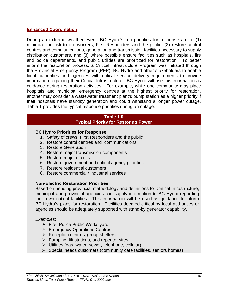### **Enhanced Coordination**

During an extreme weather event, BC Hydro's top priorities for response are to (1) minimize the risk to our workers, First Responders and the public, (2) restore control centres and communications, generation and transmission facilities necessary to supply distribution customers, and (3) where possible ensure facilities such as hospitals, fire and police departments, and public utilities are prioritized for restoration. To better inform the restoration process, a Critical Infrastructure Program was initiated through the Provincial Emergency Program (PEP), BC Hydro and other stakeholders to enable local authorities and agencies with critical service delivery requirements to provide information regarding their Critical Infrastructure. BC Hydro will use this information as guidance during restoration activities. For example, while one community may place hospitals and municipal emergency centres at the highest priority for restoration, another may consider a wastewater treatment plant's pump station as a higher priority if their hospitals have standby generation and could withstand a longer power outage. Table 1 provides the typical response priorities during an outage.

#### **Table 1.0 Typical Priority for Restoring Power**

#### **BC Hydro Priorities for Response**

- 1. Safety of crews, First Responders and the public
- 2. Restore control centres and communications
- 3. Restore Generation
- 4. Restore major transmission components
- 5. Restore major circuits
- 6. Restore government and critical agency priorities
- 7. Restore residential customers
- 8. Restore commercial / industrial services

#### **Non-Electric Restoration Priorities**

Based on pending provincial methodology and definitions for Critical Infrastructure, municipal and provincial agencies can supply information to BC Hydro regarding their own critical facilities. This information will be used as guidance to inform BC Hydro's plans for restoration. Facilities deemed critical by local authorities or agencies should be adequately supported with stand-by generator capability.

#### *Examples*:

- $\triangleright$  Fire, Police Public Works yard
- ¾ Emergency Operations Centres
- $\triangleright$  Reception centres, group shelters
- $\triangleright$  Pumping, lift stations, and repeater sites
- $\triangleright$  Utilities (gas, water, sewer, telephone, cellular)
- $\triangleright$  Special needs customers (community care facilities, seniors homes)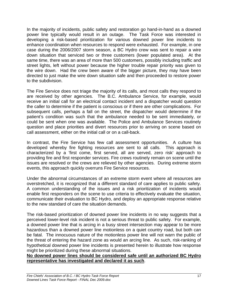In the majority of incidents, public safety and restoration go hand-in-hand as a downed power line typically would result in an outage. The Task Force was interested in developing a risk-based prioritization for various downed power line incidents to enhance coordination when resources to respond were exhausted. For example, in one case during the 2006/2007 storm season, a BC Hydro crew was sent to repair a wire down situation that serviced two or three customers (lower populated area). At the same time, there was an area of more than 500 customers, possibly including traffic and street lights, left without power because the higher trouble repair priority was given to the wire down. Had the crew been aware of the bigger picture, they may have been directed to just make the wire down situation safe and then proceeded to restore power to the subdivision.

The Fire Service does not triage the majority of its calls, and most calls they respond to are received by other agencies. The B.C. Ambulance Service, for example, would receive an initial call for an electrical contact incident and a dispatcher would question the caller to determine if the patient is conscious or if there are other complications. For subsequent calls, perhaps a fall on the street, the dispatcher would determine if the patient's condition was such that the ambulance needed to be sent immediately, or could be sent when one was available. The Police and Ambulance Services routinely question and place priorities and divert resources prior to arriving on scene based on call assessment, either on the initial call or on a call-back.

In contrast, the Fire Service has few call assessment opportunities. A culture has developed whereby fire fighting resources are sent to all calls. This approach is characterized by a 'first come, first served, all are served, zero risk' approach to providing fire and first responder services. Fire crews routinely remain on scene until the issues are resolved or the crews are relieved by other agencies. During extreme storm events, this approach quickly overruns Fire Service resources.

Under the abnormal circumstances of an extreme storm event where all resources are overstretched, it is recognized that a different standard of care applies to public safety. A common understanding of the issues and a risk prioritization of incidents would enable first responders on the scene to use criteria to effectively evaluate the situation, communicate their evaluation to BC Hydro, and deploy an appropriate response relative to the new standard of care the situation demands.

The risk-based prioritization of downed power line incidents in no way suggests that a perceived lower-level risk incident is not a serious threat to public safety. For example, a downed power line that is arcing in a busy street intersection may appear to be more hazardous than a downed power line motionless on a quiet country road, but both can be fatal. The innocuous nature of the motionless power line will not warn the public of the threat of entering the hazard zone as would an arcing line. As such, risk-ranking of hypothetical downed power line incidents is presented herein to illustrate how response might be prioritized during these abnormal situations.

**No downed power lines should be considered safe until an authorized BC Hydro representative has investigated and declared it as such**.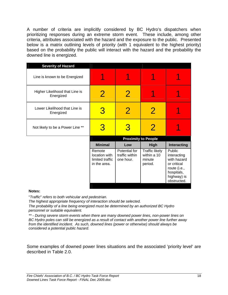A number of criteria are implicitly considered by BC Hydro's dispatchers when prioritizing responses during an extreme storm event. These include, among other criteria, attributes associated with the hazard and the exposure to the public. Presented below is a matrix outlining levels of priority (with 1 equivalent to the highest priority) based on the probability the public will interact with the hazard and the probability the downed line is energized.

| <b>Severity of Hazard</b>                   |                                                            |                                              |                                                           |                                                                                                                 |
|---------------------------------------------|------------------------------------------------------------|----------------------------------------------|-----------------------------------------------------------|-----------------------------------------------------------------------------------------------------------------|
| Line is known to be Energized               |                                                            |                                              |                                                           |                                                                                                                 |
| Higher Likelihood that Line is<br>Energized | 2                                                          | $\overline{2}$                               |                                                           |                                                                                                                 |
| Lower Likelihood that Line is<br>Energized  | 3                                                          | $\overline{2}$                               | $\overline{2}$                                            |                                                                                                                 |
| Not likely to be a Power Line **            | 3                                                          | 3                                            | $\overline{2}$                                            |                                                                                                                 |
|                                             |                                                            |                                              | <b>Proximity to People</b>                                |                                                                                                                 |
|                                             | <b>Minimal</b>                                             | Low                                          | <b>High</b>                                               | Interacting                                                                                                     |
|                                             | Remote<br>location with<br>limited traffic<br>in the area. | Potential for<br>traffic within<br>one hour. | <b>Traffic likely</b><br>within a 10<br>minute<br>period. | Public<br>interacting<br>with hazard<br>or critical<br>route (i.e.,<br>hospitals,<br>highway) is<br>obstructed. |

#### **Notes:**

"*Traffic*" *refers to both vehicular and pedestrian.*

*The highest appropriate frequency of interaction should be selected.* 

*The probability of a line being energized must be determined by an authorized BC Hydro personnel or suitable equivalent.* 

*\*\* - During severe storm events when there are many downed power lines, non-power lines on BC Hydro poles can still be energized as a result of contact with another power line further away from the identified incident. As such, downed lines (power or otherwise) should always be considered a potential public hazard.* 

Some examples of downed power lines situations and the associated 'priority level' are described in Table 2.0.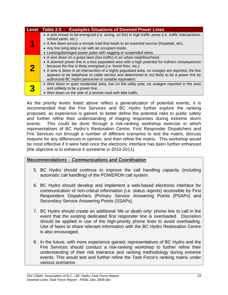| Level | <b>Table 2.0 - Examples Situations of Downed Power Lines</b>                                                                                                                                                                                                                                                                                                                                                                                                                                             |
|-------|----------------------------------------------------------------------------------------------------------------------------------------------------------------------------------------------------------------------------------------------------------------------------------------------------------------------------------------------------------------------------------------------------------------------------------------------------------------------------------------------------------|
|       | • A wire known to be energized (i.e. arcing, on fire) in high traffic areas (i.e. traffic intersections,<br>school yards, etc.).<br>• A line down across a remote road that leads to an essential service (hospitals, etc).<br>• Any line lying atop a car with an occupant inside.<br>• Leaning/damaged power poles with sagging or suspended wires.                                                                                                                                                    |
|       | • A wire down on a grass lawn (low traffic) in an urban neighbourhood.<br>• A downed power line in a less populated area with a high potential for indirect consequences<br>because the line is likely energised (i.e. forest fires, etc.).<br>• A wire is down in an intersection of a highly populated area, no outages are reported, the line<br>appears to be telephone or cable service and determined to not likely to be a power line by<br>authorized BC Hydro personnel or suitable equivalent. |
| 3     | • Wire down in quiet residential area, low on the utility pole, no outages reported in the area<br>and unlikely to be a power line.<br>• Wire down on the side of a remote road with little traffic.                                                                                                                                                                                                                                                                                                     |

As the priority levels listed above reflect a generalization of potential events, it is recommended that the Fire Services and BC Hydro further explore the ranking proposed, as experience is gained, to better define the potential risks to public safety and further refine their understanding of triaging responses during extreme storm events. This could be done through a risk-ranking workshop exercise in which representatives of BC Hydro's Restoration Centre, First Responder Dispatchers and Fire Services run through a number of different scenarios to test the matrix, discuss reasons for any differences in opinion, and then refine the matrix. This workshop would be most effective if it were held once the electronic interface has been further enhanced (the objective is to enhance it sometime in 2010-2011).

### *Recommendations – Communications and Coordination*

- 5. BC Hydro should continue to improve the call handling capacity (including automatic call handling) of the POWERON call system.
- 6. BC Hydro should develop and implement a web-based electronic interface for communication of non-critical information (i.e. status reports) accessible by First Responders Dispatchers (Primary Service Answering Points (PSAPs) and Secondary Service Answering Points (SSAPs).
- 7. BC Hydro should create an additional 'life or death only' phone line to call in the event that the existing dedicated first responder line is overloaded. Discretion should be applied in use of the high-priority phone lines to avoid overloading. Use of faxes to share relevant information with the BC Hydro Restoration Centre is also encouraged.
- 8. In the future, with more experience gained, representatives of BC Hydro and the Fire Services should conduct a risk-ranking workshop to further refine their understanding of their risk tolerance and ranking methodology during extreme events. This would test and further refine the Task Force's ranking matrix under various scenarios.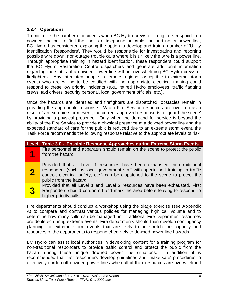### <span id="page-24-0"></span>**2.3.4 Operations**

To minimize the number of incidents when BC Hydro crews or firefighters respond to a downed line call to find the line is a telephone or cable line and not a power line, BC Hydro has considered exploring the option to develop and train a number of 'Utility Identification Responders'. They would be responsible for investigating and reporting possible wire down, non-outage trouble calls where it is unlikely the wire is a power line. Through appropriate training in hazard identification, these responders could support the BC Hydro Restoration Centre dispatchers and generate additional information regarding the status of a downed power line without overwhelming BC Hydro crews or firefighters. Any interested people in remote regions susceptible to extreme storm events who are willing to be certified with the appropriate electrical training could respond to these low priority incidents (e.g., retired Hydro employees, traffic flagging crews, taxi drivers, security personal, local government officials, etc.).

Once the hazards are identified and firefighters are dispatched, obstacles remain in providing the appropriate response. When Fire Service resources are over-run as a result of an extreme storm event, the current approved response is to 'guard the scene' by providing a physical presence. Only when the demand for service is beyond the ability of the Fire Service to provide a physical presence at a downed power line and the expected standard of care for the public is reduced due to an extreme storm event, the Task Force recommends the following response relative to the appropriate levels of risk:

| <b>Level</b>   | Table 3.0 - Possible Response Approaches during Extreme Storm Events                                                                                                                                                                                                      |
|----------------|---------------------------------------------------------------------------------------------------------------------------------------------------------------------------------------------------------------------------------------------------------------------------|
|                | Fire personnel and apparatus should remain on the scene to protect the public<br>from the hazard.                                                                                                                                                                         |
|                | Provided that all Level 1 resources have been exhausted, non-traditional<br>responders (such as local government staff with specialised training in traffic<br>control, electrical safety, etc.) can be dispatched to the scene to protect the<br>public from the hazard. |
| <mark>3</mark> | Provided that all Level 1 and Level 2 resources have been exhausted, First<br>Responders should cordon off and mark the area before leaving to respond to<br>higher priority calls.                                                                                       |

Fire departments should conduct a workshop using the triage exercise (see Appendix A) to compare and contrast various policies for managing high call volume and to determine how many calls can be managed until traditional Fire Department resources are depleted during extreme events. Fire departments should then develop contingency planning for extreme storm events that are likely to out-stretch the capacity and resources of the departments to respond effectively to downed power line hazards.

BC Hydro can assist local authorities in developing content for a training program for non-traditional responders to provide traffic control and protect the public from the hazard during these unique downed power line situations. In addition, it is recommended that first responders develop guidelines and 'make-safe' procedures to effectively cordon off downed power lines when all of their resources are overwhelmed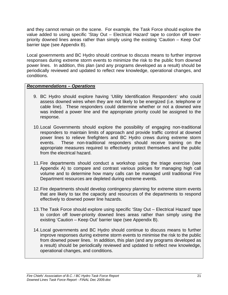and they cannot remain on the scene. For example, the Task Force should explore the value added to using specific 'Stay Out – Electrical Hazard' tape to cordon off lowerpriority downed lines areas rather than simply using the existing 'Caution – Keep Out' barrier tape (see Appendix B).

Local governments and BC Hydro should continue to discuss means to further improve responses during extreme storm events to minimize the risk to the public from downed power lines. In addition, this plan (and any programs developed as a result) should be periodically reviewed and updated to reflect new knowledge, operational changes, and conditions.

### *Recommendations – Operations*

- 9. BC Hydro should explore having 'Utility Identification Responders' who could assess downed wires when they are not likely to be energized (i.e. telephone or cable line). These responders could determine whether or not a downed wire was indeed a power line and the appropriate priority could be assigned to the response.
- 10. Local Governments should explore the possibility of engaging non-traditional responders to maintain limits of approach and provide traffic control at downed power lines to relieve firefighters and BC Hydro crews during extreme storm events. These non-traditional responders should receive training on the appropriate measures required to effectively protect themselves and the public from the electrical hazard.
- 11. Fire departments should conduct a workshop using the triage exercise (see Appendix A) to compare and contrast various policies for managing high call volume and to determine how many calls can be managed until traditional Fire Department resources are depleted during extreme events.
- 12. Fire departments should develop contingency planning for extreme storm events that are likely to tax the capacity and resources of the departments to respond effectively to downed power line hazards.
- 13. The Task Force should explore using specific 'Stay Out Electrical Hazard' tape to cordon off lower-priority downed lines areas rather than simply using the existing 'Caution – Keep Out' barrier tape (see Appendix B).
- 14. Local governments and BC Hydro should continue to discuss means to further improve responses during extreme storm events to minimise the risk to the public from downed power lines. In addition, this plan (and any programs developed as a result) should be periodically reviewed and updated to reflect new knowledge, operational changes, and conditions.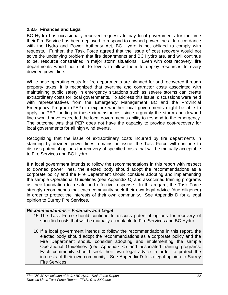### <span id="page-26-0"></span>**2.3.5 Finances and Legal**

BC Hydro has occasionally received requests to pay local governments for the time their Fire Service has been deployed to respond to downed power lines. In accordance with the Hydro and Power Authority Act, BC Hydro is not obliged to comply with requests. Further, the Task Force agreed that the issue of cost recovery would not solve the underlying problem that fire departments and BC Hydro are, and will continue to be, resource constrained in major storm situations. Even with cost recovery, fire departments would not staff to levels to allow them to deploy resources to every downed power line.

While base operating costs for fire departments are planned for and recovered through property taxes, it is recognized that overtime and contractor costs associated with maintaining public safety in emergency situations such as severe storms can create extraordinary costs for local governments. To address this issue, discussions were held with representatives from the Emergency Management BC and the Provincial Emergency Program (PEP) to explore whether local governments might be able to apply for PEP funding in these circumstances, since arguably the storm and downed lines would have exceeded the local government's ability to respond to the emergency. The outcome was that PEP does not have the capacity to provide cost-recovery for local governments for all high wind events.

Recognizing that the issue of extraordinary costs incurred by fire departments in standing by downed power lines remains an issue, the Task Force will continue to discuss potential options for recovery of specified costs that will be mutually acceptable to Fire Services and BC Hydro.

If a local government intends to follow the recommendations in this report with respect to downed power lines, the elected body should adopt the recommendations as a corporate policy and the Fire Department should consider adopting and implementing the sample Operational Guidelines (see Appendix C) and associated training programs as their foundation to a safe and effective response. In this regard, the Task Force strongly recommends that each community seek their own legal advice (due diligence) in order to protect the interests of their own community. See Appendix D for a legal opinion to Surrey Fire Services.

### *Recommendations – Finances and Legal*

- 15. The Task Force should continue to discuss potential options for recovery of specified costs that will be mutually acceptable to Fire Services and BC Hydro.
- 16. If a local government intends to follow the recommendations in this report, the elected body should adopt the recommendations as a corporate policy and the Fire Department should consider adopting and implementing the sample Operational Guidelines (see Appendix C) and associated training programs. Each community should seek their own legal advice in order to protect the interests of their own community. See Appendix D for a legal opinion to Surrey Fire Services.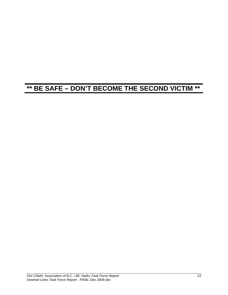# **\*\* BE SAFE – DON'T BECOME THE SECOND VICTIM \*\***

*Fire Chiefs' Association of B.C. / BC Hydro Task Force Report* 23 *Downed Lines Task Force Report - FINAL Dec 2009.doc*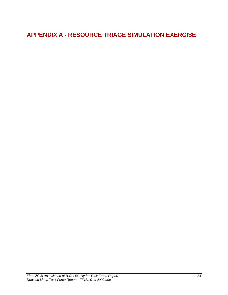## <span id="page-28-0"></span>**APPENDIX A - RESOURCE TRIAGE SIMULATION EXERCISE**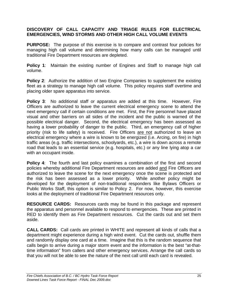### **DISCOVERY OF CALL CAPACITY AND TRIAGE RULES FOR ELECTRICAL EMERGENCIES, WIND STORMS AND OTHER HIGH CALL VOLUME EVENTS**

**PURPOSE:** The purpose of this exercise is to compare and contrast four policies for managing high call volume and determining how many calls can be managed until traditional Fire Department resources are depleted.

**Policy 1**: Maintain the existing number of Engines and Staff to manage high call volume.

**Policy 2:** Authorize the addition of two Engine Companies to supplement the existing fleet as a strategy to manage high call volume. This policy requires staff overtime and placing older spare apparatus into service.

**Policy 3**: No additional staff or apparatus are added at this time. However, Fire Officers are authorized to leave the current electrical emergency scene to attend the next emergency call if certain conditions are met. First, the Fire personnel have placed visual and other barriers on all sides of the incident and the public is warned of the possible electrical danger. Second, the electrical emergency has been assessed as having a lower probability of danger to the public. Third, an emergency call of higher priority (risk to life safety) is received. Fire Officers are not authorized to leave an electrical emergency where a wire is known to be energized (i.e. Arcing, on fire) in high traffic areas (e.g. traffic intersections, schoolyards, etc.), a wire is down across a remote road that leads to an essential service (e.g. hospitals, etc.) or any line lying atop a car with an occupant inside.

**Policy 4:** The fourth and last policy examines a combination of the first and second policies whereby additional Fire Department resources are added and Fire Officers are authorized to leave the scene for the next emergency once the scene is protected and the risk has been assessed as a lower priority. While another policy might be developed for the deployment of non-traditional responders like Bylaws Officers or Public Works Staff, this option is similar to Policy 2. For now, however, this exercise looks at the deployment of traditional Fire Department resources only.

**RESOURCE CARDS:** Resources cards may be found in this package and represent the apparatus and personnel available to respond to emergencies. These are printed in RED to identify them as Fire Department resources. Cut the cards out and set them aside.

**CALL CARDS:** Call cards are printed in WHITE and represent all kinds of calls that a department might experience during a high wind event. Cut the cards out, shuffle them and randomly display one card at a time. Imagine that this is the random sequence that calls begin to arrive during a major storm event and the information is the best "at-thattime information" from callers and other emergency services. Arrange the call cards so that you will not be able to see the nature of the next call until each card is revealed.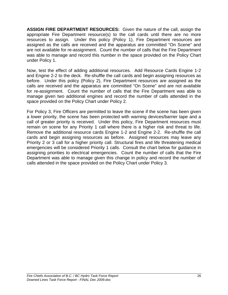**ASSIGN FIRE DEPARTMENT RESOURCES:** Given the nature of the call, assign the appropriate Fire Department resource(s) to the call cards until there are no more resources to assign. Under this policy (Policy 1), Fire Department resources are assigned as the calls are received and the apparatus are committed "On Scene" and are not available for re-assignment. Count the number of calls that the Fire Department was able to manage and record this number in the space provided on the Policy Chart under Policy 1.

Now, test the effect of adding additional resources. Add Resource Cards Engine 1-2 and Engine 2-2 to the deck. Re-shuffle the call cards and begin assigning resources as before. Under this policy (Policy 2), Fire Department resources are assigned as the calls are received and the apparatus are committed "On Scene" and are not available for re-assignment. Count the number of calls that the Fire Department was able to manage given two additional engines and record the number of calls attended in the space provided on the Policy Chart under Policy 2.

For Policy 3, Fire Officers are permitted to leave the scene if the scene has been given a lower priority, the scene has been protected with warning devices/barrier tape and a call of greater priority is received. Under this policy, Fire Department resources must remain on scene for any Priority 1 call where there is a higher risk and threat to life. Remove the additional resource cards Engine 1-2 and Engine 2-2. Re-shuffle the call cards and begin assigning resources as before. Assigned resources may leave any Priority 2 or 3 call for a higher priority call. Structural fires and life threatening medical emergencies will be considered Priority 1 calls. Consult the chart below for guidance in assigning priorities to electrical emergencies. Count the number of calls that the Fire Department was able to manage given this change in policy and record the number of calls attended in the space provided on the Policy Chart under Policy 3.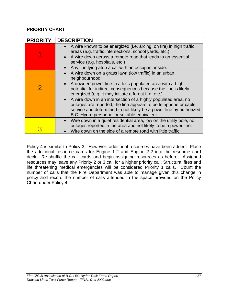### **PRIORITY CHART**

| <b>PRIORITY</b> | <b>DESCRIPTION</b>                                                                                                                                                                                                                                                                                                                                                                                                                                                                                                       |  |  |  |
|-----------------|--------------------------------------------------------------------------------------------------------------------------------------------------------------------------------------------------------------------------------------------------------------------------------------------------------------------------------------------------------------------------------------------------------------------------------------------------------------------------------------------------------------------------|--|--|--|
|                 | • A wire known to be energized (i.e. arcing, on fire) in high traffic<br>areas (e.g. traffic intersections, school yards, etc.)<br>A wire down across a remote road that leads to an essential<br>service (e.g. hospitals, etc.)<br>Any line lying atop a car with an occupant inside.                                                                                                                                                                                                                                   |  |  |  |
| 2               | A wire down on a grass lawn (low traffic) in an urban<br>neighbourhood<br>A downed power line in a less populated area with a high<br>potential for indirect consequences because the line is likely<br>energized (e.g. it may initiate a forest fire, etc.)<br>• A wire down in an intersection of a highly populated area, no<br>outages are reported, the line appears to be telephone or cable<br>service and determined to not likely be a power line by authorized<br>B.C. Hydro personnel or suitable equivalent. |  |  |  |
|                 | Wire down in a quiet residential area, low on the utility pole, no<br>outages reported in the area and not likely to be a power line.<br>Wire down on the side of a remote road with little traffic.                                                                                                                                                                                                                                                                                                                     |  |  |  |

Policy 4 is similar to Policy 3. However, additional resources have been added. Place the additional resource cards for Engine 1-2 and Engine 2-2 into the resource card deck. Re-shuffle the call cards and begin assigning resources as before. Assigned resources may leave any Priority 2 or 3 call for a higher priority call. Structural fires and life threatening medical emergencies will be considered Priority 1 calls. Count the number of calls that the Fire Department was able to manage given this change in policy and record the number of calls attended in the space provided on the Policy Chart under Policy 4.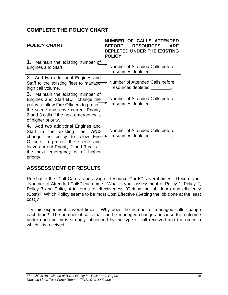## **COMPLETE THE POLICY CHART**

| <b>POLICY CHART</b>                                                                                                                                                                                                                            | NUMBER OF CALLS ATTENDED<br><b>RESOURCES</b><br><b>BEFORE</b><br><b>ARF</b><br>DEPLETED UNDER THE EXISTING<br><b>POLICY</b> |  |  |
|------------------------------------------------------------------------------------------------------------------------------------------------------------------------------------------------------------------------------------------------|-----------------------------------------------------------------------------------------------------------------------------|--|--|
| <b>1.</b> Maintain the existing number of<br><b>Engines and Staff</b>                                                                                                                                                                          | Number of Attended Calls before<br>resources depleted _____                                                                 |  |  |
| 2. Add two additional Engines and<br>Staff to the existing fleet to manage<br>high call volume.                                                                                                                                                | ► Number of Attended Calls before<br>resources depleted _________.                                                          |  |  |
| 3. Maintain the existing number of<br>Engines and Staff BUT change the<br>policy to allow Fire Officers to protect<br>the scene and leave current Priority<br>2 and 3 calls if the next emergency is<br>of higher priority.                    | Number of Attended Calls before<br>resources depleted _________.                                                            |  |  |
| 4. Add two additional Engines and<br>Staff to the existing fleet <b>AND</b><br>change the policy to allow Fire<br>Officers to protect the scene and<br>leave current Priority 2 and 3 calls if<br>the next emergency is of higher<br>priority. | Number of Attended Calls before<br>resources depleted ________.                                                             |  |  |

## **ASSSESSMENT OF RESULTS**

Re-shuffle the "Call Cards" and assign "Resource Cards" several times. Record your "Number of Attended Calls" each time. What is your assessment of Policy 1, Policy 2, Policy 3 and Policy 4 in terms of effectiveness (Getting the job done) and efficiency (Cost)? Which Policy seems to be most Cost Effective (Getting the job done at the least cost)?

Try this experiment several times. Why does the number of managed calls change each time? The number of calls that can be managed changes because the outcome under each policy is strongly influenced by the type of call received and the order in which it is received.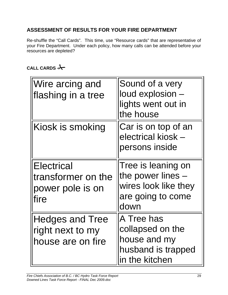## **ASSESSMENT OF RESULTS FOR YOUR FIRE DEPARTMENT**

Re-shuffle the "Call Cards". This time, use "Resource cards" that are representative of your Fire Department. Under each policy, how many calls can be attended before your resources are depleted?

## **CALL CARDS**

| Wire arcing and<br>flashing in a tree                               | Sound of a very<br>loud explosion<br>lights went out in<br>the house                           |
|---------------------------------------------------------------------|------------------------------------------------------------------------------------------------|
| Kiosk is smoking                                                    | Car is on top of an<br>electrical kiosk -<br>persons inside                                    |
| <b>Electrical</b><br>transformer on the<br>power pole is on<br>fire | Tree is leaning on<br>the power lines $-$<br>wires look like they<br>are going to come<br>down |
| <b>Hedges and Tree</b><br>right next to my<br>house are on fire     | A Tree has<br>collapsed on the<br>house and my<br>husband is trapped<br>in the kitchen         |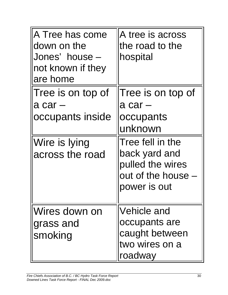| A Tree has come<br>down on the<br>Jones' house -<br>not known if they<br>are home      | A tree is across<br>the road to the<br>hospital                                                                                                       |
|----------------------------------------------------------------------------------------|-------------------------------------------------------------------------------------------------------------------------------------------------------|
| Tree is on top of<br>$a car -$<br>occupants inside<br>Wire is lying<br>across the road | Tree is on top of<br>$a car -$<br>occupants<br>unknown<br>Tree fell in the<br>back yard and<br>pulled the wires<br>out of the house -<br>power is out |
| Wires down on<br>grass and<br>smoking                                                  | Vehicle and<br>occupants are<br>caught between<br>two wires on a<br>roadway                                                                           |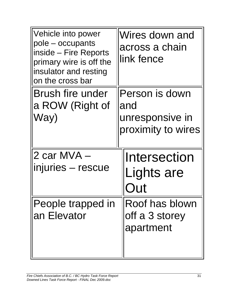| Vehicle into power<br>pole – occupants<br>inside – Fire Reports<br>primary wire is off the<br>insulator and resting<br>on the cross bar | Wires down and<br>across a chain<br>link fence                 |
|-----------------------------------------------------------------------------------------------------------------------------------------|----------------------------------------------------------------|
| <b>Brush fire under</b><br>a ROW (Right of<br>Way)                                                                                      | Person is down<br>and<br>unresponsive in<br>proximity to wires |
| 2 car MVA -<br>injuries – rescue                                                                                                        | Intersection<br>Lights are                                     |
| People trapped in<br>an Elevator                                                                                                        | Roof has blown<br>off a 3 storey<br>apartment                  |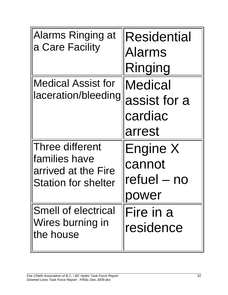| <b>Alarms Ringing at</b><br>a Care Facility                                           | <b>Residential</b><br><b>Alarms</b><br>Ringing      |
|---------------------------------------------------------------------------------------|-----------------------------------------------------|
| <b>Medical Assist for</b><br>laceration/bleeding                                      | <b>Medical</b><br>assist for a<br>cardiac<br>arrest |
| Three different<br>families have<br>arrived at the Fire<br><b>Station for shelter</b> | <b>Engine X</b><br>cannot<br>refuel – no<br>power   |
| <b>Smell of electrical</b><br>Wires burning in<br>the house                           | Fire in a<br>residence                              |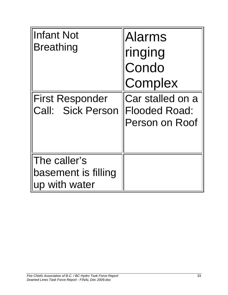| <b>Infant Not</b><br><b>Breathing</b><br><b>First Responder</b><br><b>Call: Sick Person</b> | <b>Alarms</b><br>ringing<br>Condo<br>Complex<br>Car stalled on a<br><b>Flooded Road:</b><br>Person on Roof |
|---------------------------------------------------------------------------------------------|------------------------------------------------------------------------------------------------------------|
| The caller's<br>basement is filling<br>up with water                                        |                                                                                                            |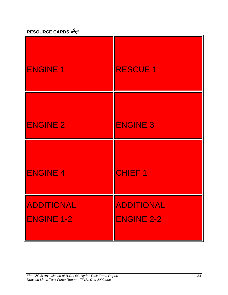| RESOURCE CARDS $\rightarrow$ |
|------------------------------|
|                              |

| <b>ENGINE 1</b>                 | <b>RESCUE 1</b>                 |
|---------------------------------|---------------------------------|
| <b>ENGINE 2</b>                 | <b>ENGINE 3</b>                 |
| <b>ENGINE 4</b>                 | <b>CHIEF1</b>                   |
| ADDITIONAL<br><b>ENGINE 1-2</b> | ADDITIONAL<br><b>ENGINE 2-2</b> |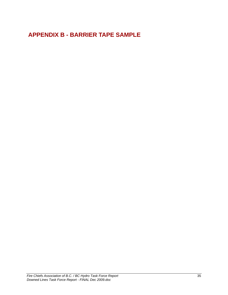## <span id="page-39-0"></span> **APPENDIX B - BARRIER TAPE SAMPLE**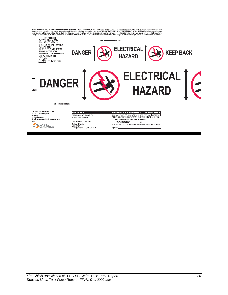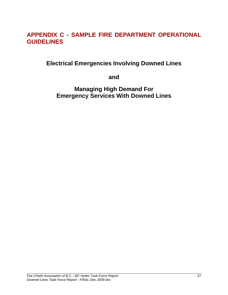## <span id="page-41-0"></span>**APPENDIX C - SAMPLE FIRE DEPARTMENT OPERATIONAL GUIDELINES**

**Electrical Emergencies Involving Downed Lines** 

**and** 

**Managing High Demand For Emergency Services With Downed Lines**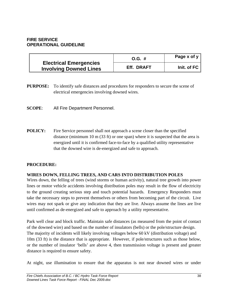#### **FIRE SERVICE OPERATIONAL GUIDELINE**

|                                                                | $O.G. \#$  | Page $x$ of $y$ |
|----------------------------------------------------------------|------------|-----------------|
| <b>Electrical Emergencies</b><br><b>Involving Downed Lines</b> | Eff. DRAFT | Init. of $FC$   |

**PURPOSE:** To identify safe distances and procedures for responders to secure the scene of electrical emergencies involving downed wires.

**SCOPE**:All Fire Department Personnel.

**POLICY:** Fire Service personnel shall not approach a scene closer than the specified distance (minimum 10 m  $(33 \text{ ft})$  or one span) where it is suspected that the area is energized until it is confirmed face-to-face by a qualified utility representative that the downed wire is de-energized and safe to approach.

#### **PROCEDURE:**

#### **WIRES DOWN, FELLING TREES, AND CARS INTO DISTRIBUTION POLES**

Wires down, the felling of trees (wind storms or human activity), natural tree growth into power lines or motor vehicle accidents involving distribution poles may result in the flow of electricity to the ground creating serious step and touch potential hazards. Emergency Responders must take the necessary steps to prevent themselves or others from becoming part of the circuit. Live wires may not spark or give any indication that they are live. Always assume the lines are live until confirmed as de-energized and safe to approach by a utility representative.

Park well clear and block traffic. Maintain safe distances (as measured from the point of contact of the downed wire) and based on the number of insulators (bells) or the pole/structure design. The majority of incidents will likely involving voltages below 60 kV (distribution voltage) and 10m (33 ft) is the distance that is appropriate. However, if pole/structures such as those below, or the number of insulator 'bells' are above 4, then transmission voltage is present and greater distance is required to ensure safety.

At night, use illumination to ensure that the apparatus is not near downed wires or under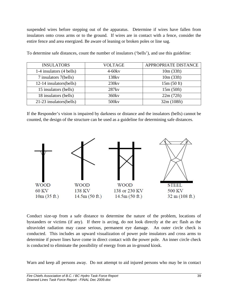suspended wires before stepping out of the apparatus. Determine if wires have fallen from insulators onto cross arms or to the ground. If wires are in contact with a fence, consider the entire fence and area energized. Be aware of leaning or broken poles or line sag.

| <b>INSULATORS</b>        | <b>VOLTAGE</b>    | APPROPRIATE DISTANCE |
|--------------------------|-------------------|----------------------|
| 1-4 insulators (4 bells) | $4-60$ kv         | 10m (33ft)           |
| 7 insulators 7(bells)    | 138kv             | 10m (33ft)           |
| 12-14 insulators(bells)  | 230kv             | 15m(50 ft)           |
| 15 insulators (bells)    | 287ky             | 15m(50ft)            |
| 18 insulators (bells)    | $360$ kv          | 22m(72ft)            |
| 21-23 insulators(bells)  | 500 <sub>kv</sub> | 32m (108ft)          |

To determine safe distances, count the number of insulators ('bells'), and use this guideline:

If the Responder's vision is impaired by darkness or distance and the insulators (bells) cannot be counted, the design of the structure can be used as a guideline for determining safe distances.



Conduct size-up from a safe distance to determine the nature of the problem, locations of bystanders or victims (if any). If there is arcing, do not look directly at the arc flash as the ultraviolet radiation may cause serious, permanent eye damage. An outer circle check is conducted. This includes an upward visualization of power pole insulators and cross arms to determine if power lines have come in direct contact with the power pole. An inner circle check is conducted to eliminate the possibility of energy from an in-ground kiosk.

Warn and keep all persons away. Do not attempt to aid injured persons who may be in contact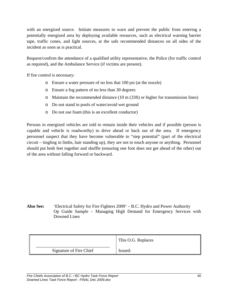with an energized source. Initiate measures to warn and prevent the public from entering a potentially energized area by deploying available resources, such as electrical warning barrier tape, traffic cones, and light sources, at the safe recommended distances on all sides of the incident as soon as is practical.

Request/confirm the attendance of a qualified utility representative, the Police (for traffic control as required), and the Ambulance Service (if victims are present).

If fire control is necessary:

- o Ensure a water pressure of no less that 100 psi (at the nozzle)
- o Ensure a fog pattern of no less than 30 degrees
- o Maintain the recommended distance (10 m (33ft) or higher for transmission lines)
- o Do not stand in pools of water/avoid wet ground
- o Do not use foam (this is an excellent conductor)

Persons in energized vehicles are told to remain inside their vehicles and if possible (person is capable and vehicle is roadworthy) to drive ahead or back out of the area. If emergency personnel suspect that they have become vulnerable to "step potential" (part of the electrical circuit – tingling in limbs, hair standing up), they are not to touch anyone or anything. Personnel should put both feet together and shuffle (ensuring one foot does not get ahead of the other) out of the area without falling forward or backward.

**Also See:** 'Electrical Safety for Fire Fighters 2009' – B.C. Hydro and Power Authority Op Guide Sample – Managing High Demand for Emergency Services with Downed Lines

|                         | This O.G. Replaces |
|-------------------------|--------------------|
| Signature of Fire Chief | Issued:            |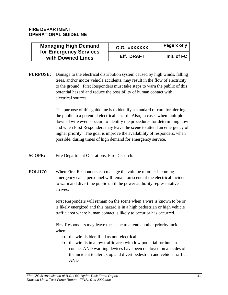#### **FIRE DEPARTMENT OPERATIONAL GUIDELINE**

| <b>Managing High Demand</b>                 | O.G. #XXXXXX | Page x of y |
|---------------------------------------------|--------------|-------------|
| for Emergency Services<br>with Downed Lines | Eff. DRAFT   | Init. of FC |

**PURPOSE:** Damage to the electrical distribution system caused by high winds, falling trees, and/or motor vehicle accidents, may result in the flow of electricity to the ground. First Responders must take steps to warn the public of this potential hazard and reduce the possibility of human contact with electrical sources.

> The purpose of this guideline is to identify a standard of care for alerting the public to a potential electrical hazard. Also, in cases when multiple downed wire events occur, to identify the procedures for determining how and when First Responders may leave the scene to attend an emergency of higher priority. The goal is improve the availability of responders, when possible, during times of high demand for emergency service.

- **SCOPE:** Fire Department Operations, Fire Dispatch.
- **POLICY:** When First Responders can manage the volume of other incoming emergency calls, personnel will remain on scene of the electrical incident to warn and divert the public until the power authority representative arrives.

First Responders will remain on the scene when a wire is known to be or is likely energized and this hazard is in a high pedestrian or high vehicle traffic area where human contact is likely to occur or has occurred.

First Responders may leave the scene to attend another priority incident when:

- o the wire is identified as non-electrical;
- o the wire is in a low traffic area with low potential for human contact AND warning devices have been deployed on all sides of the incident to alert, stop and divert pedestrian and vehicle traffic; AND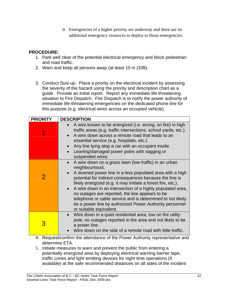o Emergencies of a higher priority are underway and there are no additional emergency resources to deploy to those emergencies.

### **PROCEDURE:**

- 1. Park well clear of the potential electrical emergency and block pedestrian and road traffic.
- 2. Warn and keep all persons away (at least 10 m (33ft).
- 3. Conduct Size-up. Place a priority on the electrical incident by assessing the severity of the hazard using the priority and description chart as a guide. Provide an initial report. Report any immediate life-threatening situation to Fire Dispatch. Fire Dispatch is to notify the power authority of immediate life-threatening emergencies on the dedicated phone line for this purpose (e.g. electrical wires across an occupied vehicle).

| <b>PRIORITY</b> | <b>DESCRIPTION</b>                                                                                                                                                                                                                                                                                                                                                                                                                                                                                                                  |
|-----------------|-------------------------------------------------------------------------------------------------------------------------------------------------------------------------------------------------------------------------------------------------------------------------------------------------------------------------------------------------------------------------------------------------------------------------------------------------------------------------------------------------------------------------------------|
|                 | A wire known to be energized (i.e. arcing, on fire) in high<br>traffic areas (e.g. traffic intersections, school yards, etc.).<br>A wire down across a remote road that leads to an<br>essential service (e.g. hospitals, etc.).<br>Any line lying atop a car with an occupant inside.<br>Leaning/damaged power poles with sagging or<br>suspended wires.                                                                                                                                                                           |
| $\overline{2}$  | A wire down on a grass lawn (low traffic) in an urban<br>neighbourhood.<br>A downed power line in a less populated area with a high<br>potential for indirect consequences because the line is<br>likely energized (e.g. it may initiate a forest fire, etc.).<br>A wire down in an intersection of a highly populated area,<br>no outages are reported, the line appears to be<br>telephone or cable service and is determined to not likely<br>be a power line by authorized Power Authority personnel<br>or suitable equivalent. |
| 3               | Wire down in a quiet residential area, low on the utility<br>$\bullet$<br>pole, no outages reported in the area and not likely to be<br>a power line.<br>Wire down on the side of a remote road with little traffic.                                                                                                                                                                                                                                                                                                                |

- 4. Request/confirm the attendance of the Power Authority representative and determine ETA.
- 5. Initiate measures to warn and prevent the public from entering a potentially energized area by deploying electrical warning barrier tape, traffic cones and light emitting devices for night time operations (if available) at the safe recommended distances on all sides of the incident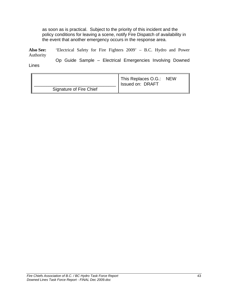as soon as is practical. Subject to the priority of this incident and the policy conditions for leaving a scene, notify Fire Dispatch of availability in the event that another emergency occurs in the response area.

**Also See:** 'Electrical Safety for Fire Fighters 2009' – B.C. Hydro and Power Authority Op Guide Sample – Electrical Emergencies Involving Downed

Lines

|                         | This Replaces O.G.: NEW<br>Issued on: DRAFT |  |
|-------------------------|---------------------------------------------|--|
| Signature of Fire Chief |                                             |  |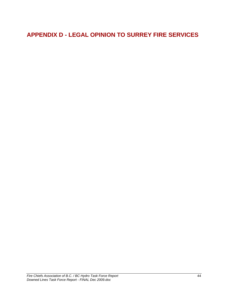## <span id="page-48-0"></span>**APPENDIX D - LEGAL OPINION TO SURREY FIRE SERVICES**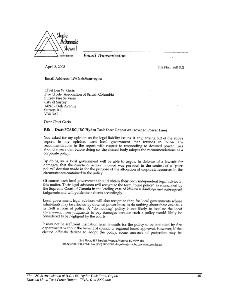

#### Email Transmission

April 8, 2008

File No.: 860 002

Email Address: LWGaris@surrey.ca

Chief Len W. Garis Fire Chiefs' Association of British Columbia Surrey Fire Services City of Surrey 14245 - 56th Ávenue<br>Surrey, B.C. V3X 3A2

Dear Chief Garis:

#### RE: Draft FCABC / BC Hydro Task Force Report on Downed Power Lines

You asked for my opinion on the legal liability issues, if any, arising out of the above report. In my opinion, each local government that intends to follow the recommendations in the report with respect to responding to downed power lines should ensure that before doing so, the elected body adopts the recommendations as a corporate policy.

By doing so, a local government will be able to argue, in defence of a lawsuit for damages, that the course of action followed was pursued in the context of a "pure policy" decision made in for the purpose of the allocation of corporate resources in the circumstances contained in the policy.

Of course, each local government should obtain their own independent legal advice in this matter, Their legal advisors will recognize the term "pure policy" as enunciated by the Supreme Court of Canada in the leading case of Neilsen v Kamloops and subsequent judgments and will guide their clients accordingly.

Local government legal advisors will also recognize that, for local governments whose inhabitants may be affected by downed power lines, to do nothing about these events is<br>in itself a form of policy. A "do nothing" policy is not likely to insulate the local government from judgments to pay damages because such a policy would likely be considered to be negligent by the courts.

It may not be sufficient insulation from lawsuits for the policy to be instituted by fire departments without the benefit of council or regional board approval. However, if the elected officials decline to adopt the policy, some measure of protection may be

> 2nd Floor, 837 Burdett Avenue, Victoria, BC V8W 1B3 Phone (250) 380-7744 · Fax (250) 380-3008 · logolaw@sms.bc.ca · www.sms.bc.ca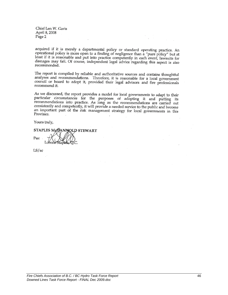Chief Len W. Garis April 8, 2008 Page 2

acquired if it is merely a departmental policy or standard operating practice. An operational policy is more open to a finding of negligence than a "pure policy" but at least if it is reasonable and put into practice competently in each event, lawsuits for damages may fail. Of course, independent legal advice regarding this aspect is also recommended.

The report is compiled by reliable and authoritative sources and contains thoughtful analyses and recommendations. Therefore, it is reasonable for a local government council or board to adopt it, provided their legal advisors and fire professionals recommend it.

As we discussed, the report provides a model for local governments to adapt to their particular circumstances for the purposes of adopting it and putting its recommendations into practice. As long as the recommendations are carried out consistently and competently, it will provide a needed service to the public and become an important part of the risk management strategy for local governments in this Province.

Yours truly,

STAPLES MgDANNOLD STEWART Per:

 $LS/sec$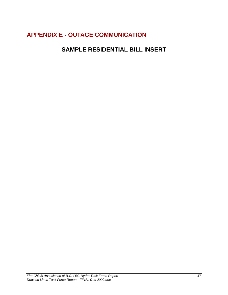## <span id="page-51-0"></span>**APPENDIX E - OUTAGE COMMUNICATION**

## **SAMPLE RESIDENTIAL BILL INSERT**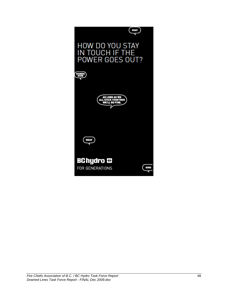